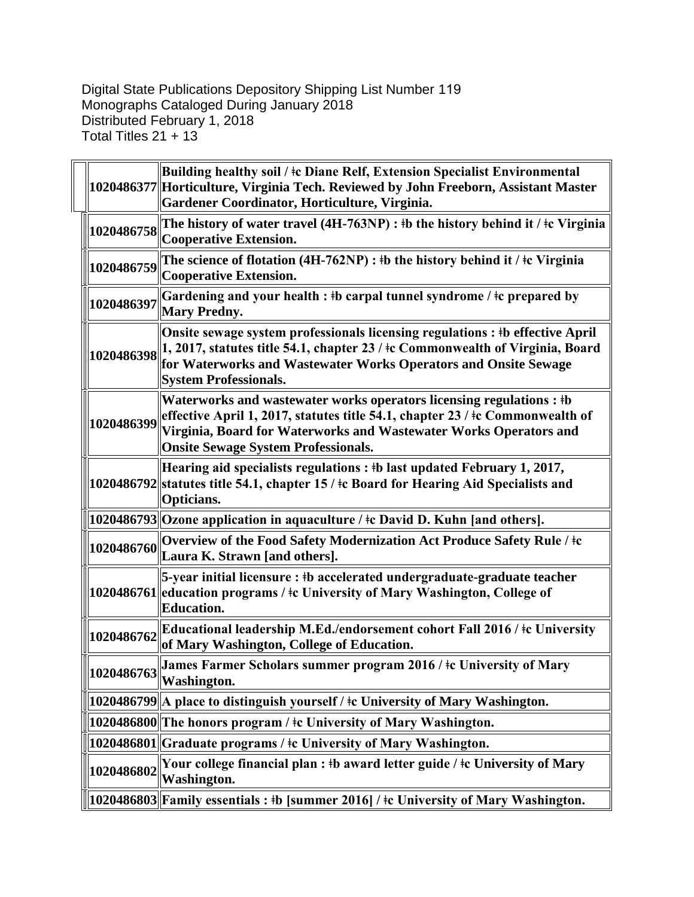Digital State Publications Depository Shipping List Number 119 Monographs Cataloged During January 2018 Distributed February 1, 2018 Total Titles 21 + 13

|            | Building healthy soil / ‡c Diane Relf, Extension Specialist Environmental<br>1020486377 Horticulture, Virginia Tech. Reviewed by John Freeborn, Assistant Master<br>Gardener Coordinator, Horticulture, Virginia.                                                              |
|------------|--------------------------------------------------------------------------------------------------------------------------------------------------------------------------------------------------------------------------------------------------------------------------------|
| 1020486758 | The history of water travel (4H-763NP) : $\frac{1}{10}$ the history behind it / $\frac{1}{10}$ Virginia<br>Cooperative Extension.                                                                                                                                              |
| 1020486759 | The science of flotation $(4H-762NP)$ : #b the history behind it / $\pm c$ Virginia<br>Cooperative Extension.                                                                                                                                                                  |
| 1020486397 | Gardening and your health : #b carpal tunnel syndrome / #c prepared by<br><b>Mary Predny.</b>                                                                                                                                                                                  |
| 1020486398 | Onsite sewage system professionals licensing regulations : #b effective April<br>$\vert$ 1, 2017, statutes title 54.1, chapter 23 / $\pm$ c Commonwealth of Virginia, Board<br>for Waterworks and Wastewater Works Operators and Onsite Sewage<br><b>System Professionals.</b> |
| 1020486399 | Waterworks and wastewater works operators licensing regulations : #b<br>effective April 1, 2017, statutes title 54.1, chapter 23 / ‡c Commonwealth of<br>Virginia, Board for Waterworks and Wastewater Works Operators and<br><b>Onsite Sewage System Professionals.</b>       |
|            | Hearing aid specialists regulations : #b last updated February 1, 2017,<br>1020486792 statutes title 54.1, chapter 15 / ‡c Board for Hearing Aid Specialists and<br>Opticians.                                                                                                 |
|            | 1020486793 Ozone application in aquaculture / ‡c David D. Kuhn [and others].                                                                                                                                                                                                   |
| 1020486760 | Overview of the Food Safety Modernization Act Produce Safety Rule / ‡c<br>Laura K. Strawn [and others].                                                                                                                                                                        |
|            | 5-year initial licensure : #b accelerated undergraduate-graduate teacher<br>1020486761 education programs / ‡c University of Mary Washington, College of<br><b>Education.</b>                                                                                                  |
| 1020486762 | Educational leadership M.Ed./endorsement cohort Fall 2016 / ‡c University<br>of Mary Washington, College of Education.                                                                                                                                                         |
|            | James Farmer Scholars summer program 2016 / ‡c University of Mary                                                                                                                                                                                                              |
|            | [1020486799] A place to distinguish yourself / ‡c University of Mary Washington.                                                                                                                                                                                               |
|            | 1020486800  The honors program / ‡c University of Mary Washington.                                                                                                                                                                                                             |
|            | $\ 1020486801\ $ Graduate programs / ‡c University of Mary Washington.                                                                                                                                                                                                         |
| 1020486802 | Your college financial plan : ‡b award letter guide / ‡c University of Mary<br><b>Washington.</b>                                                                                                                                                                              |
|            | 1020486803  Family essentials : #b [summer 2016] / #c University of Mary Washington.                                                                                                                                                                                           |